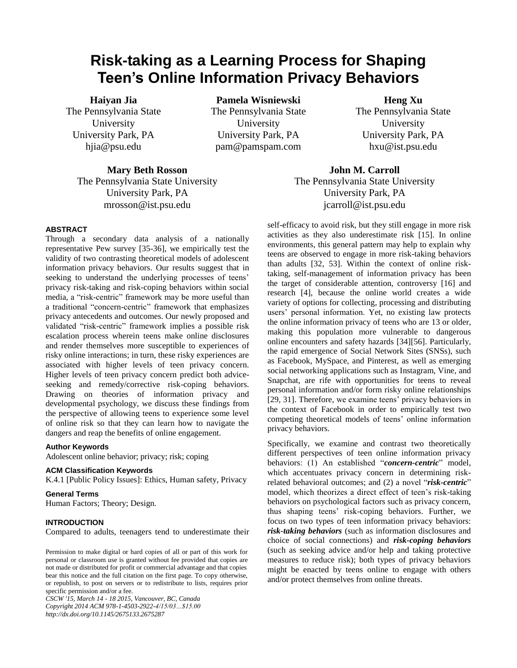# **Risk-taking as a Learning Process for Shaping Teen's Online Information Privacy Behaviors**

## **Haiyan Jia**

The Pennsylvania State University University Park, PA hjia@psu.edu

**Pamela Wisniewski** The Pennsylvania State University University Park, PA pam@pamspam.com

## **Heng Xu** The Pennsylvania State University University Park, PA hxu@ist.psu.edu

**Mary Beth Rosson**

The Pennsylvania State University University Park, PA mrosson@ist.psu.edu

## **ABSTRACT**

Through a secondary data analysis of a nationally representative Pew survey [35-36], we empirically test the validity of two contrasting theoretical models of adolescent information privacy behaviors. Our results suggest that in seeking to understand the underlying processes of teens' privacy risk-taking and risk-coping behaviors within social media, a "risk-centric" framework may be more useful than a traditional "concern-centric" framework that emphasizes privacy antecedents and outcomes. Our newly proposed and validated "risk-centric" framework implies a possible risk escalation process wherein teens make online disclosures and render themselves more susceptible to experiences of risky online interactions; in turn, these risky experiences are associated with higher levels of teen privacy concern. Higher levels of teen privacy concern predict both adviceseeking and remedy/corrective risk-coping behaviors. Drawing on theories of information privacy and developmental psychology, we discuss these findings from the perspective of allowing teens to experience some level of online risk so that they can learn how to navigate the dangers and reap the benefits of online engagement.

#### **Author Keywords**

Adolescent online behavior; privacy; risk; coping

#### **ACM Classification Keywords** K.4.1 [Public Policy Issues]: Ethics, Human safety, Privacy

**General Terms**

Human Factors; Theory; Design.

#### **INTRODUCTION**

Compared to adults, teenagers tend to underestimate their

Permission to make digital or hard copies of all or part of this work for personal or classroom use is granted without fee provided that copies are not made or distributed for profit or commercial advantage and that copies bear this notice and the full citation on the first page. To copy otherwise, or republish, to post on servers or to redistribute to lists, requires prior specific permission and/or a fee.

*CSCW '15, March 14 - 18 2015, Vancouver, BC, Canada Copyright 2014 ACM 978-1-4503-2922-4/15/03…\$15.00 http://dx.doi.org/10.1145/2675133.2675287*

**John M. Carroll** The Pennsylvania State University University Park, PA jcarroll@ist.psu.edu

self-efficacy to avoid risk, but they still engage in more risk activities as they also underestimate risk [15]. In online environments, this general pattern may help to explain why teens are observed to engage in more risk-taking behaviors than adults [32, 53]. Within the context of online risktaking, self-management of information privacy has been the target of considerable attention, controversy [16] and research [4], because the online world creates a wide variety of options for collecting, processing and distributing users' personal information. Yet, no existing law protects the online information privacy of teens who are 13 or older, making this population more vulnerable to dangerous online encounters and safety hazards [34][56]. Particularly, the rapid emergence of Social Network Sites (SNSs), such as Facebook, MySpace, and Pinterest, as well as emerging social networking applications such as Instagram, Vine, and Snapchat, are rife with opportunities for teens to reveal personal information and/or form risky online relationships [29, 31]. Therefore, we examine teens' privacy behaviors in the context of Facebook in order to empirically test two competing theoretical models of teens' online information privacy behaviors.

Specifically, we examine and contrast two theoretically different perspectives of teen online information privacy behaviors: (1) An established "*concern-centric*" model, which accentuates privacy concern in determining riskrelated behavioral outcomes; and (2) a novel "*risk-centric*" model, which theorizes a direct effect of teen's risk-taking behaviors on psychological factors such as privacy concern, thus shaping teens' risk-coping behaviors. Further, we focus on two types of teen information privacy behaviors: *risk-taking behaviors* (such as information disclosures and choice of social connections) and *risk-coping behaviors* (such as seeking advice and/or help and taking protective measures to reduce risk); both types of privacy behaviors might be enacted by teens online to engage with others and/or protect themselves from online threats.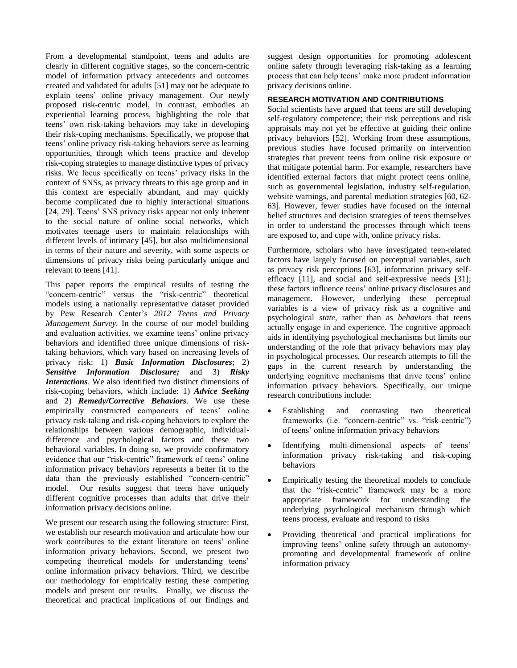From a developmental standpoint, teens and adults are clearly in different cognitive stages, so the concern-centric model of information privacy antecedents and outcomes created and validated for adults [51] may not be adequate to explain teens' online privacy management. Our newly proposed risk-centric model, in contrast, embodies an experiential learning process, highlighting the role that teens' own risk-taking behaviors may take in developing their risk-coping mechanisms. Specifically, we propose that teens' online privacy risk-taking behaviors serve as learning opportunities, through which teens practice and develop risk-coping strategies to manage distinctive types of privacy risks. We focus specifically on teens' privacy risks in the context of SNSs, as privacy threats to this age group and in this context are especially abundant, and may quickly become complicated due to highly interactional situations [24, 29]. Teens' SNS privacy risks appear not only inherent to the social nature of online social networks, which motivates teenage users to maintain relationships with different levels of intimacy [45], but also multidimensional in terms of their nature and severity, with some aspects or dimensions of privacy risks being particularly unique and relevant to teens [41].

This paper reports the empirical results of testing the "concern-centric" versus the "risk-centric" theoretical models using a nationally representative dataset provided by Pew Research Center's *2012 Teens and Privacy Management Survey.* In the course of our model building and evaluation activities, we examine teens' online privacy behaviors and identified three unique dimensions of risktaking behaviors, which vary based on increasing levels of privacy risk: 1) *Basic Information Disclosures*; 2) *Sensitive Information Disclosure;* and 3) *Risky Interactions*. We also identified two distinct dimensions of risk-coping behaviors, which include: 1) *Advice Seeking* and 2) *Remedy/Corrective Behaviors*. We use these empirically constructed components of teens' online privacy risk-taking and risk-coping behaviors to explore the relationships between various demographic, individualdifference and psychological factors and these two behavioral variables. In doing so, we provide confirmatory evidence that our "risk-centric" framework of teens' online information privacy behaviors represents a better fit to the data than the previously established "concern-centric" model. Our results suggest that teens have uniquely different cognitive processes than adults that drive their information privacy decisions online.

We present our research using the following structure: First, we establish our research motivation and articulate how our work contributes to the extant literature on teens' online information privacy behaviors. Second, we present two competing theoretical models for understanding teens' online information privacy behaviors. Third, we describe our methodology for empirically testing these competing models and present our results. Finally, we discuss the theoretical and practical implications of our findings and

suggest design opportunities for promoting adolescent online safety through leveraging risk-taking as a learning process that can help teens' make more prudent information privacy decisions online.

## **RESEARCH MOTIVATION AND CONTRIBUTIONS**

Social scientists have argued that teens are still developing self-regulatory competence; their risk perceptions and risk appraisals may not yet be effective at guiding their online privacy behaviors [52]. Working from these assumptions, previous studies have focused primarily on intervention strategies that prevent teens from online risk exposure or that mitigate potential harm. For example, researchers have identified external factors that might protect teens online, such as governmental legislation, industry self-regulation, website warnings, and parental mediation strategies [60, 62- 63]. However, fewer studies have focused on the internal belief structures and decision strategies of teens themselves in order to understand the processes through which teens are exposed to, and cope with, online privacy risks.

Furthermore, scholars who have investigated teen-related factors have largely focused on perceptual variables, such as privacy risk perceptions [63], information privacy selfefficacy [11], and social and self-expressive needs [31]; these factors influence teens' online privacy disclosures and management. However, underlying these perceptual variables is a view of privacy risk as a cognitive and psychological *state*, rather than as *behaviors* that teens actually engage in and experience. The cognitive approach aids in identifying psychological mechanisms but limits our understanding of the role that privacy behaviors may play in psychological processes. Our research attempts to fill the gaps in the current research by understanding the underlying cognitive mechanisms that drive teens' online information privacy behaviors. Specifically, our unique research contributions include:

- Establishing and contrasting two theoretical frameworks (i.e. "concern-centric" vs. "risk-centric") of teens' online information privacy behaviors
- Identifying multi-dimensional aspects of teens' information privacy risk-taking and risk-coping behaviors
- Empirically testing the theoretical models to conclude that the "risk-centric" framework may be a more appropriate framework for understanding the underlying psychological mechanism through which teens process, evaluate and respond to risks
- Providing theoretical and practical implications for improving teens' online safety through an autonomypromoting and developmental framework of online information privacy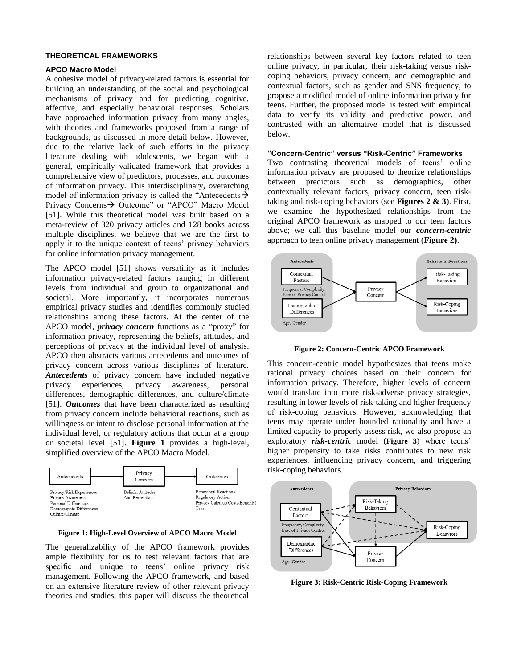#### **THEORETICAL FRAMEWORKS**

#### **APCO Macro Model**

A cohesive model of privacy-related factors is essential for building an understanding of the social and psychological mechanisms of privacy and for predicting cognitive, affective, and especially behavioral responses. Scholars have approached information privacy from many angles, with theories and frameworks proposed from a range of backgrounds, as discussed in more detail below. However, due to the relative lack of such efforts in the privacy literature dealing with adolescents, we began with a general, empirically validated framework that provides a comprehensive view of predictors, processes, and outcomes of information privacy. This interdisciplinary, overarching model of information privacy is called the "Antecedents > Privacy Concerns > Outcome" or "APCO" Macro Model [51]. While this theoretical model was built based on a meta-review of 320 privacy articles and 128 books across multiple disciplines, we believe that we are the first to apply it to the unique context of teens' privacy behaviors for online information privacy management.

The APCO model [51] shows versatility as it includes information privacy-related factors ranging in different levels from individual and group to organizational and societal. More importantly, it incorporates numerous empirical privacy studies and identifies commonly studied relationships among these factors. At the center of the APCO model, *privacy concern* functions as a "proxy" for information privacy, representing the beliefs, attitudes, and perceptions of privacy at the individual level of analysis. APCO then abstracts various antecedents and outcomes of privacy concern across various disciplines of literature. *Antecedents* of privacy concern have included negative privacy experiences, privacy awareness, personal differences, demographic differences, and culture/climate [51]. *Outcomes* that have been characterized as resulting from privacy concern include behavioral reactions, such as willingness or intent to disclose personal information at the individual level, or regulatory actions that occur at a group or societal level [51]. **[Figure 1](#page-2-0)** provides a high-level, simplified overview of the APCO Macro Model.



<span id="page-2-0"></span>**Figure 1: High-Level Overview of APCO Macro Model**

The generalizability of the APCO framework provides ample flexibility for us to test relevant factors that are specific and unique to teens' online privacy risk management. Following the APCO framework, and based on an extensive literature review of other relevant privacy theories and studies, this paper will discuss the theoretical

relationships between several key factors related to teen online privacy, in particular, their risk-taking versus riskcoping behaviors, privacy concern, and demographic and contextual factors, such as gender and SNS frequency, to propose a modified model of online information privacy for teens. Further, the proposed model is tested with empirical data to verify its validity and predictive power, and contrasted with an alternative model that is discussed below.

## **"Concern-Centric" versus "Risk-Centric" Frameworks**

Two contrasting theoretical models of teens' online information privacy are proposed to theorize relationships between predictors such as demographics, other contextually relevant factors, privacy concern, teen risktaking and risk-coping behaviors (see **Figures 2 & 3**). First, we examine the hypothesized relationships from the original APCO framework as mapped to our teen factors above; we call this baseline model our *concern-centric* approach to teen online privacy management (**[Figure 2\)](#page-2-1)**.



**Figure 2: Concern-Centric APCO Framework** 

<span id="page-2-1"></span>This concern-centric model hypothesizes that teens make rational privacy choices based on their concern for information privacy. Therefore, higher levels of concern would translate into more risk-adverse privacy strategies, resulting in lower levels of risk-taking and higher frequency of risk-coping behaviors. However, acknowledging that teens may operate under bounded rationality and have a limited capacity to properly assess risk, we also propose an exploratory *risk-centric* model (**[Figure 3](#page-2-2)**) where teens' higher propensity to take risks contributes to new risk experiences, influencing privacy concern, and triggering risk-coping behaviors.



<span id="page-2-2"></span>**Figure 3: Risk-Centric Risk-Coping Framework**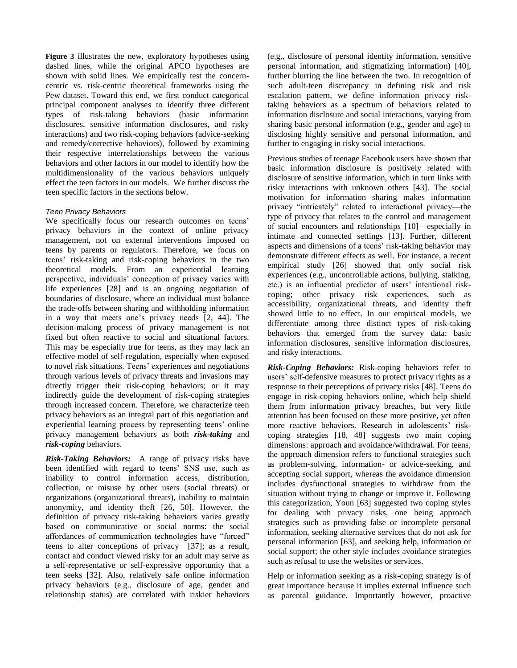**[Figure 3](#page-2-2)** illustrates the new, exploratory hypotheses using dashed lines, while the original APCO hypotheses are shown with solid lines. We empirically test the concerncentric vs. risk-centric theoretical frameworks using the Pew dataset. Toward this end, we first conduct categorical principal component analyses to identify three different types of risk-taking behaviors (basic information disclosures, sensitive information disclosures, and risky interactions) and two risk-coping behaviors (advice-seeking and remedy/corrective behaviors), followed by examining their respective interrelationships between the various behaviors and other factors in our model to identify how the multidimensionality of the various behaviors uniquely effect the teen factors in our models. We further discuss the teen specific factors in the sections below.

## *Teen Privacy Behaviors*

We specifically focus our research outcomes on teens' privacy behaviors in the context of online privacy management, not on external interventions imposed on teens by parents or regulators. Therefore, we focus on teens' risk-taking and risk-coping behaviors in the two theoretical models. From an experiential learning perspective, individuals' conception of privacy varies with life experiences [28] and is an ongoing negotiation of boundaries of disclosure, where an individual must balance the trade-offs between sharing and withholding information in a way that meets one's privacy needs [2, 44]. The decision-making process of privacy management is not fixed but often reactive to social and situational factors. This may be especially true for teens, as they may lack an effective model of self-regulation, especially when exposed to novel risk situations. Teens' experiences and negotiations through various levels of privacy threats and invasions may directly trigger their risk-coping behaviors; or it may indirectly guide the development of risk-coping strategies through increased concern. Therefore, we characterize teen privacy behaviors as an integral part of this negotiation and experiential learning process by representing teens' online privacy management behaviors as both *risk-taking* and *risk-coping* behaviors.

*Risk-Taking Behaviors:* A range of privacy risks have been identified with regard to teens' SNS use, such as inability to control information access, distribution, collection, or misuse by other users (social threats) or organizations (organizational threats), inability to maintain anonymity, and identity theft [26, 50]. However, the definition of privacy risk-taking behaviors varies greatly based on communicative or social norms: the social affordances of communication technologies have "forced" teens to alter conceptions of privacy [37]; as a result, contact and conduct viewed risky for an adult may serve as a self-representative or self-expressive opportunity that a teen seeks [32]. Also, relatively safe online information privacy behaviors (e.g., disclosure of age, gender and relationship status) are correlated with riskier behaviors

(e.g., disclosure of personal identity information, sensitive personal information, and stigmatizing information) [40], further blurring the line between the two. In recognition of such adult-teen discrepancy in defining risk and risk escalation pattern, we define information privacy risktaking behaviors as a spectrum of behaviors related to information disclosure and social interactions, varying from sharing basic personal information (e.g., gender and age) to disclosing highly sensitive and personal information, and further to engaging in risky social interactions.

Previous studies of teenage Facebook users have shown that basic information disclosure is positively related with disclosure of sensitive information, which in turn links with risky interactions with unknown others [43]. The social motivation for information sharing makes information privacy "intricately" related to interactional privacy—the type of privacy that relates to the control and management of social encounters and relationships [10]—especially in intimate and connected settings [13]. Further, different aspects and dimensions of a teens' risk-taking behavior may demonstrate different effects as well. For instance, a recent empirical study [26] showed that only social risk experiences (e.g., uncontrollable actions, bullying, stalking, etc.) is an influential predictor of users' intentional riskcoping; other privacy risk experiences, such as accessibility, organizational threats, and identity theft showed little to no effect. In our empirical models, we differentiate among three distinct types of risk-taking behaviors that emerged from the survey data: basic information disclosures, sensitive information disclosures, and risky interactions.

*Risk-Coping Behaviors:* Risk-coping behaviors refer to users' self-defensive measures to protect privacy rights as a response to their perceptions of privacy risks [48]. Teens do engage in risk-coping behaviors online, which help shield them from information privacy breaches, but very little attention has been focused on these more positive, yet often more reactive behaviors. Research in adolescents' riskcoping strategies [18, 48] suggests two main coping dimensions: approach and avoidance/withdrawal. For teens, the approach dimension refers to functional strategies such as problem-solving, information- or advice-seeking, and accepting social support, whereas the avoidance dimension includes dysfunctional strategies to withdraw from the situation without trying to change or improve it. Following this categorization, Youn [63] suggested two coping styles for dealing with privacy risks, one being approach strategies such as providing false or incomplete personal information, seeking alternative services that do not ask for personal information [63], and seeking help, information or social support; the other style includes avoidance strategies such as refusal to use the websites or services.

Help or information seeking as a risk-coping strategy is of great importance because it implies external influence such as parental guidance. Importantly however, proactive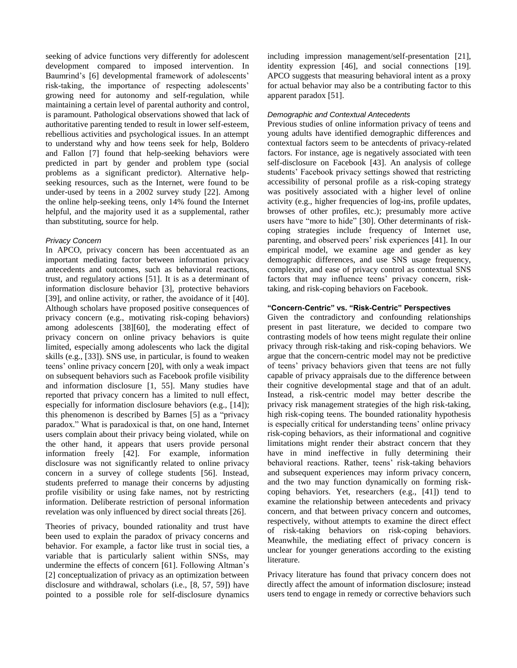seeking of advice functions very differently for adolescent development compared to imposed intervention. In Baumrind's [6] developmental framework of adolescents' risk-taking, the importance of respecting adolescents' growing need for autonomy and self-regulation, while maintaining a certain level of parental authority and control, is paramount. Pathological observations showed that lack of authoritative parenting tended to result in lower self-esteem, rebellious activities and psychological issues. In an attempt to understand why and how teens seek for help, Boldero and Fallon [7] found that help-seeking behaviors were predicted in part by gender and problem type (social problems as a significant predictor). Alternative helpseeking resources, such as the Internet, were found to be under-used by teens in a 2002 survey study [22]. Among the online help-seeking teens, only 14% found the Internet helpful, and the majority used it as a supplemental, rather than substituting, source for help.

## *Privacy Concern*

In APCO, privacy concern has been accentuated as an important mediating factor between information privacy antecedents and outcomes, such as behavioral reactions, trust, and regulatory actions [51]. It is as a determinant of information disclosure behavior [3], protective behaviors [39], and online activity, or rather, the avoidance of it [40]. Although scholars have proposed positive consequences of privacy concern (e.g., motivating risk-coping behaviors) among adolescents [38][60], the moderating effect of privacy concern on online privacy behaviors is quite limited, especially among adolescents who lack the digital skills (e.g., [33]). SNS use, in particular, is found to weaken teens' online privacy concern [20], with only a weak impact on subsequent behaviors such as Facebook profile visibility and information disclosure [1, 55]. Many studies have reported that privacy concern has a limited to null effect, especially for information disclosure behaviors (e.g., [14]); this phenomenon is described by Barnes [5] as a "privacy paradox." What is paradoxical is that, on one hand, Internet users complain about their privacy being violated, while on the other hand, it appears that users provide personal information freely [42]. For example, information disclosure was not significantly related to online privacy concern in a survey of college students [56]. Instead, students preferred to manage their concerns by adjusting profile visibility or using fake names, not by restricting information. Deliberate restriction of personal information revelation was only influenced by direct social threats [26].

Theories of privacy, bounded rationality and trust have been used to explain the paradox of privacy concerns and behavior. For example, a factor like trust in social ties, a variable that is particularly salient within SNSs, may undermine the effects of concern [61]. Following Altman's [2] conceptualization of privacy as an optimization between disclosure and withdrawal, scholars (i.e., [8, 57, 59]) have pointed to a possible role for self-disclosure dynamics including impression management/self-presentation [21], identity expression [46], and social connections [19]. APCO suggests that measuring behavioral intent as a proxy for actual behavior may also be a contributing factor to this apparent paradox [51].

## *Demographic and Contextual Antecedents*

Previous studies of online information privacy of teens and young adults have identified demographic differences and contextual factors seem to be antecdents of privacy-related factors. For instance, age is negatively associated with teen self-disclosure on Facebook [43]. An analysis of college students' Facebook privacy settings showed that restricting accessibility of personal profile as a risk-coping strategy was positively associated with a higher level of online activity (e.g., higher frequencies of log-ins, profile updates, browses of other profiles, etc.); presumably more active users have "more to hide" [30]. Other determinants of riskcoping strategies include frequency of Internet use, parenting, and observed peers' risk experiences [41]. In our empirical model, we examine age and gender as key demographic differences, and use SNS usage frequency, complexity, and ease of privacy control as contextual SNS factors that may influence teens' privacy concern, risktaking, and risk-coping behaviors on Facebook.

## **"Concern-Centric" vs. "Risk-Centric" Perspectives**

Given the contradictory and confounding relationships present in past literature, we decided to compare two contrasting models of how teens might regulate their online privacy through risk-taking and risk-coping behaviors. We argue that the concern-centric model may not be predictive of teens' privacy behaviors given that teens are not fully capable of privacy appraisals due to the difference between their cognitive developmental stage and that of an adult. Instead, a risk-centric model may better describe the privacy risk management strategies of the high risk-taking, high risk-coping teens. The bounded rationality hypothesis is especially critical for understanding teens' online privacy risk-coping behaviors, as their informational and cognitive limitations might render their abstract concern that they have in mind ineffective in fully determining their behavioral reactions. Rather, teens' risk-taking behaviors and subsequent experiences may inform privacy concern, and the two may function dynamically on forming riskcoping behaviors. Yet, researchers (e.g., [41]) tend to examine the relationship between antecedents and privacy concern, and that between privacy concern and outcomes, respectively, without attempts to examine the direct effect of risk-taking behaviors on risk-coping behaviors. Meanwhile, the mediating effect of privacy concern is unclear for younger generations according to the existing literature.

Privacy literature has found that privacy concern does not directly affect the amount of information disclosure; instead users tend to engage in remedy or corrective behaviors such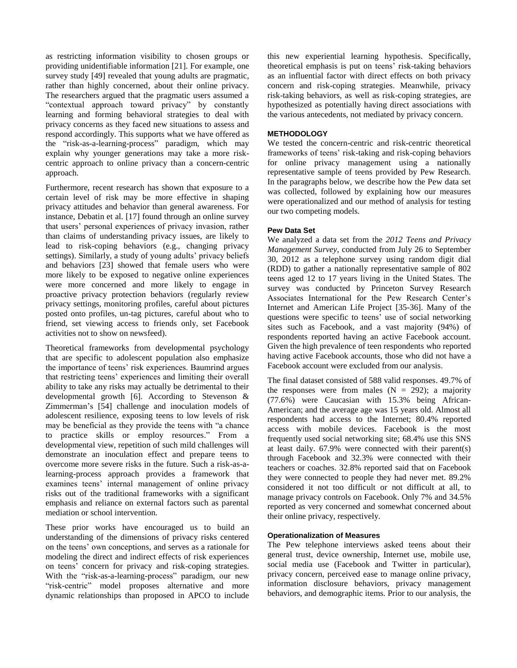as restricting information visibility to chosen groups or providing unidentifiable information [21]. For example, one survey study [49] revealed that young adults are pragmatic, rather than highly concerned, about their online privacy. The researchers argued that the pragmatic users assumed a "contextual approach toward privacy" by constantly learning and forming behavioral strategies to deal with privacy concerns as they faced new situations to assess and respond accordingly. This supports what we have offered as the "risk-as-a-learning-process" paradigm, which may explain why younger generations may take a more riskcentric approach to online privacy than a concern-centric approach.

Furthermore, recent research has shown that exposure to a certain level of risk may be more effective in shaping privacy attitudes and behavior than general awareness. For instance, Debatin et al. [17] found through an online survey that users' personal experiences of privacy invasion, rather than claims of understanding privacy issues, are likely to lead to risk-coping behaviors (e.g., changing privacy settings). Similarly, a study of young adults' privacy beliefs and behaviors [23] showed that female users who were more likely to be exposed to negative online experiences were more concerned and more likely to engage in proactive privacy protection behaviors (regularly review privacy settings, monitoring profiles, careful about pictures posted onto profiles, un-tag pictures, careful about who to friend, set viewing access to friends only, set Facebook activities not to show on newsfeed).

Theoretical frameworks from developmental psychology that are specific to adolescent population also emphasize the importance of teens' risk experiences. Baumrind argues that restricting teens' experiences and limiting their overall ability to take any risks may actually be detrimental to their developmental growth [6]. According to Stevenson & Zimmerman's [54] challenge and inoculation models of adolescent resilience, exposing teens to low levels of risk may be beneficial as they provide the teens with "a chance to practice skills or employ resources." From a developmental view, repetition of such mild challenges will demonstrate an inoculation effect and prepare teens to overcome more severe risks in the future. Such a risk-as-alearning-process approach provides a framework that examines teens' internal management of online privacy risks out of the traditional frameworks with a significant emphasis and reliance on external factors such as parental mediation or school intervention.

These prior works have encouraged us to build an understanding of the dimensions of privacy risks centered on the teens' own conceptions, and serves as a rationale for modeling the direct and indirect effects of risk experiences on teens' concern for privacy and risk-coping strategies. With the "risk-as-a-learning-process" paradigm, our new "risk-centric" model proposes alternative and more dynamic relationships than proposed in APCO to include

this new experiential learning hypothesis. Specifically, theoretical emphasis is put on teens' risk-taking behaviors as an influential factor with direct effects on both privacy concern and risk-coping strategies. Meanwhile, privacy risk-taking behaviors, as well as risk-coping strategies, are hypothesized as potentially having direct associations with the various antecedents, not mediated by privacy concern.

## **METHODOLOGY**

We tested the concern-centric and risk-centric theoretical frameworks of teens' risk-taking and risk-coping behaviors for online privacy management using a nationally representative sample of teens provided by Pew Research. In the paragraphs below, we describe how the Pew data set was collected, followed by explaining how our measures were operationalized and our method of analysis for testing our two competing models.

## **Pew Data Set**

We analyzed a data set from the *2012 Teens and Privacy Management Survey*, conducted from July 26 to September 30, 2012 as a telephone survey using random digit dial (RDD) to gather a nationally representative sample of 802 teens aged 12 to 17 years living in the United States. The survey was conducted by Princeton Survey Research Associates International for the Pew Research Center's Internet and American Life Project [35-36]. Many of the questions were specific to teens' use of social networking sites such as Facebook, and a vast majority (94%) of respondents reported having an active Facebook account. Given the high prevalence of teen respondents who reported having active Facebook accounts, those who did not have a Facebook account were excluded from our analysis.

The final dataset consisted of 588 valid responses. 49.7% of the responses were from males  $(N = 292)$ ; a majority (77.6%) were Caucasian with 15.3% being African-American; and the average age was 15 years old. Almost all respondents had access to the Internet; 80.4% reported access with mobile devices. Facebook is the most frequently used social networking site; 68.4% use this SNS at least daily. 67.9% were connected with their parent(s) through Facebook and 32.3% were connected with their teachers or coaches. 32.8% reported said that on Facebook they were connected to people they had never met. 89.2% considered it not too difficult or not difficult at all, to manage privacy controls on Facebook. Only 7% and 34.5% reported as very concerned and somewhat concerned about their online privacy, respectively.

## **Operationalization of Measures**

The Pew telephone interviews asked teens about their general trust, device ownership, Internet use, mobile use, social media use (Facebook and Twitter in particular), privacy concern, perceived ease to manage online privacy, information disclosure behaviors, privacy management behaviors, and demographic items. Prior to our analysis, the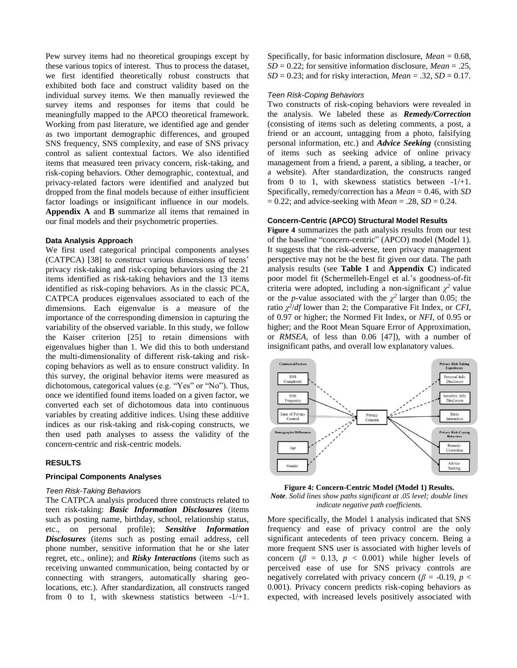Pew survey items had no theoretical groupings except by these various topics of interest. Thus to process the dataset, we first identified theoretically robust constructs that exhibited both face and construct validity based on the individual survey items. We then manually reviewed the survey items and responses for items that could be meaningfully mapped to the APCO theoretical framework. Working from past literature, we identified age and gender as two important demographic differences, and grouped SNS frequency, SNS complexity, and ease of SNS privacy control as salient contextual factors. We also identified items that measured teen privacy concern, risk-taking, and risk-coping behaviors. Other demographic, contextual, and privacy-related factors were identified and analyzed but dropped from the final models because of either insufficient factor loadings or insignificant influence in our models. **Appendix A** and **B** summarize all items that remained in our final models and their psychometric properties.

## **Data Analysis Approach**

We first used categorical principal components analyses (CATPCA) [38] to construct various dimensions of teens' privacy risk-taking and risk-coping behaviors using the 21 items identified as risk-taking behaviors and the 13 items identified as risk-coping behaviors. As in the classic PCA, CATPCA produces eigenvalues associated to each of the dimensions. Each eigenvalue is a measure of the importance of the corresponding dimension in capturing the variability of the observed variable. In this study, we follow the Kaiser criterion [25] to retain dimensions with eigenvalues higher than 1. We did this to both understand the multi-dimensionality of different risk-taking and riskcoping behaviors as well as to ensure construct validity. In this survey, the original behavior items were measured as dichotomous, categorical values (e.g. "Yes" or "No"). Thus, once we identified found items loaded on a given factor, we converted each set of dichotomous data into continuous variables by creating additive indices. Using these additive indices as our risk-taking and risk-coping constructs, we then used path analyses to assess the validity of the concern-centric and risk-centric models.

#### **RESULTS**

#### **Principal Components Analyses**

#### *Teen Risk-Taking Behaviors*

The CATPCA analysis produced three constructs related to teen risk-taking: *Basic Information Disclosures* (items such as posting name, birthday, school, relationship status, etc., on personal profile); *Sensitive Information Disclosures* (items such as posting email address, cell phone number, sensitive information that he or she later regret, etc., online); and *Risky Interactions* (items such as receiving unwanted communication, being contacted by or connecting with strangers, automatically sharing geolocations, etc.). After standardization, all constructs ranged from 0 to 1, with skewness statistics between  $-1/+1$ . Specifically, for basic information disclosure, *Mean* = 0.68, *SD* = 0.22; for sensitive information disclosure, *Mean* = .25,  $SD = 0.23$ ; and for risky interaction, *Mean* = .32,  $SD = 0.17$ .

#### *Teen Risk-Coping Behaviors*

Two constructs of risk-coping behaviors were revealed in the analysis. We labeled these as *Remedy/Correction* (consisting of items such as deleting comments, a post, a friend or an account, untagging from a photo, falsifying personal information, etc.) and *Advice Seeking* (consisting of items such as seeking advice of online privacy management from a friend, a parent, a sibling, a teacher, or a website). After standardization, the constructs ranged from 0 to 1, with skewness statistics between  $-1/+1$ . Specifically, remedy/correction has a *Mean* = 0.46, with *SD*  $= 0.22$ ; and advice-seeking with *Mean*  $= .28$ , *SD*  $= 0.24$ .

#### **Concern-Centric (APCO) Structural Model Results**

**[Figure 4](#page-6-0)** summarizes the path analysis results from our test of the baseline "concern-centric" (APCO) model (Model 1). It suggests that the risk-adverse, teen privacy management perspective may not be the best fit given our data. The path analysis results (see **Table 1** and **Appendix C**) indicated poor model fit (Schermelleh-Engel et al.'s goodness-of-fit criteria were adopted, including a non-significant  $\chi^2$  value or the *p*-value associated with the  $\chi^2$  larger than 0.05; the ratio  $\chi^2/df$  lower than 2; the Comparative Fit Index, or *CFI*, of 0.97 or higher; the Normed Fit Index, or *NFI*, of 0.95 or higher; and the Root Mean Square Error of Approximation, or *RMSEA*, of less than 0.06 [47]), with a number of insignificant paths, and overall low explanatory values.



<span id="page-6-0"></span>**Figure 4: Concern-Centric Model (Model 1) Results.**  *Note. Solid lines show paths significant at .05 level; double lines indicate negative path coefficients.*

More specifically, the Model 1 analysis indicated that SNS frequency and ease of privacy control are the only significant antecedents of teen privacy concern. Being a more frequent SNS user is associated with higher levels of concern ( $\beta$  = 0.13,  $p$  < 0.001) while higher levels of perceived ease of use for SNS privacy controls are negatively correlated with privacy concern ( $\beta$  = -0.19,  $p$  < 0.001). Privacy concern predicts risk-coping behaviors as expected, with increased levels positively associated with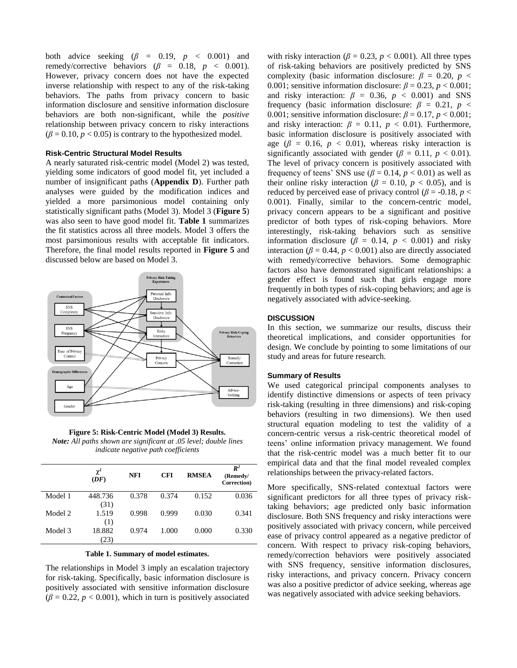both advice seeking  $(\beta = 0.19, p < 0.001)$  and remedy/corrective behaviors ( $\beta$  = 0.18,  $p$  < 0.001). However, privacy concern does not have the expected inverse relationship with respect to any of the risk-taking behaviors. The paths from privacy concern to basic information disclosure and sensitive information disclosure behaviors are both non-significant, while the *positive* relationship between privacy concern to risky interactions  $(\beta = 0.10, p < 0.05)$  is contrary to the hypothesized model.

#### **Risk-Centric Structural Model Results**

A nearly saturated risk-centric model (Model 2) was tested, yielding some indicators of good model fit, yet included a number of insignificant paths (**Appendix D**). Further path analyses were guided by the modification indices and yielded a more parsimonious model containing only statistically significant paths (Model 3). Model 3 (**Figure 5**) was also seen to have good model fit. **Table 1** summarizes the fit statistics across all three models. Model 3 offers the most parsimonious results with acceptable fit indicators. Therefore, the final model results reported in **Figure 5** and discussed below are based on Model 3.



**Figure 5: Risk-Centric Model (Model 3) Results.** *Note: All paths shown are significant at .05 level; double lines indicate negative path coefficients*

|         | $\chi^2$<br>(DF) | NFI   | <b>CFI</b> | <b>RMSEA</b> | $\mathbb{R}^2$<br>(Remedy/<br>Correction) |
|---------|------------------|-------|------------|--------------|-------------------------------------------|
| Model 1 | 448.736          | 0.378 | 0.374      | 0.152        | 0.036                                     |
|         | (31)             |       |            |              |                                           |
| Model 2 | 1.519            | 0.998 | 0.999      | 0.030        | 0.341                                     |
|         | (1)              |       |            |              |                                           |
| Model 3 | 18.882           | 0.974 | 1.000      | 0.000        | 0.330                                     |
|         | (23)             |       |            |              |                                           |

#### **Table 1. Summary of model estimates.**

The relationships in Model 3 imply an escalation trajectory for risk-taking. Specifically, basic information disclosure is positively associated with sensitive information disclosure  $(\beta = 0.22, p < 0.001)$ , which in turn is positively associated

with risky interaction ( $\beta = 0.23$ ,  $p < 0.001$ ). All three types of risk-taking behaviors are positively predicted by SNS complexity (basic information disclosure:  $\beta = 0.20$ ,  $p <$ 0.001; sensitive information disclosure:  $\beta = 0.23$ ,  $p < 0.001$ ; and risky interaction:  $\beta = 0.36$ ,  $p < 0.001$ ) and SNS frequency (basic information disclosure:  $\beta = 0.21$ ,  $p <$ 0.001; sensitive information disclosure:  $\beta = 0.17$ ,  $p < 0.001$ ; and risky interaction:  $\beta = 0.11$ ,  $p < 0.01$ ). Furthermore, basic information disclosure is positively associated with age ( $\beta$  = 0.16,  $p$  < 0.01), whereas risky interaction is significantly associated with gender ( $\beta = 0.11$ ,  $p < 0.01$ ). The level of privacy concern is positively associated with frequency of teens' SNS use ( $\beta$  = 0.14,  $p$  < 0.01) as well as their online risky interaction ( $\beta = 0.10$ ,  $p < 0.05$ ), and is reduced by perceived ease of privacy control ( $\beta$  = -0.18, *p* < 0.001). Finally, similar to the concern-centric model, privacy concern appears to be a significant and positive predictor of both types of risk-coping behaviors. More interestingly, risk-taking behaviors such as sensitive information disclosure ( $\beta$  = 0.14,  $p$  < 0.001) and risky interaction ( $\beta$  = 0.44,  $p$  < 0.001) also are directly associated with remedy/corrective behaviors. Some demographic factors also have demonstrated significant relationships: a gender effect is found such that girls engage more frequently in both types of risk-coping behaviors; and age is negatively associated with advice-seeking.

#### **DISCUSSION**

In this section, we summarize our results, discuss their theoretical implications, and consider opportunities for design. We conclude by pointing to some limitations of our study and areas for future research.

#### **Summary of Results**

We used categorical principal components analyses to identify distinctive dimensions or aspects of teen privacy risk-taking (resulting in three dimensions) and risk-coping behaviors (resulting in two dimensions). We then used structural equation modeling to test the validity of a concern-centric versus a risk-centric theoretical model of teens' online information privacy management. We found that the risk-centric model was a much better fit to our empirical data and that the final model revealed complex relationships between the privacy-related factors.

More specifically, SNS-related contextual factors were significant predictors for all three types of privacy risktaking behaviors; age predicted only basic information disclosure. Both SNS frequency and risky interactions were positively associated with privacy concern, while perceived ease of privacy control appeared as a negative predictor of concern. With respect to privacy risk-coping behaviors, remedy/correction behaviors were positively associated with SNS frequency, sensitive information disclosures, risky interactions, and privacy concern. Privacy concern was also a positive predictor of advice seeking, whereas age was negatively associated with advice seeking behaviors.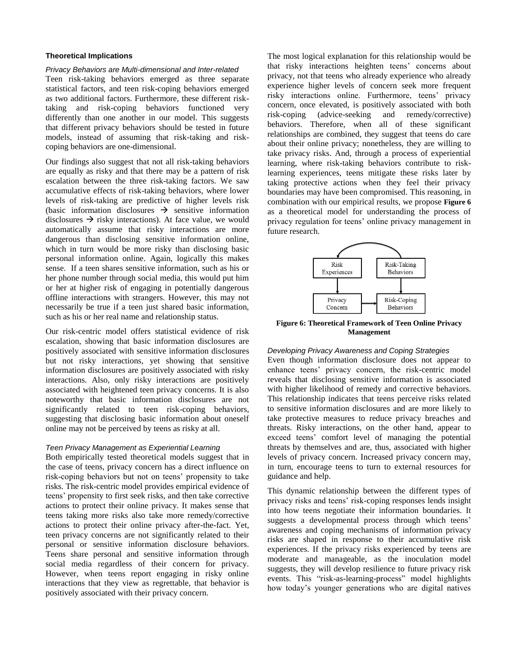#### **Theoretical Implications**

#### *Privacy Behaviors are Multi-dimensional and Inter-related*

Teen risk-taking behaviors emerged as three separate statistical factors, and teen risk-coping behaviors emerged as two additional factors. Furthermore, these different risktaking and risk-coping behaviors functioned very differently than one another in our model. This suggests that different privacy behaviors should be tested in future models, instead of assuming that risk-taking and riskcoping behaviors are one-dimensional.

Our findings also suggest that not all risk-taking behaviors are equally as risky and that there may be a pattern of risk escalation between the three risk-taking factors. We saw accumulative effects of risk-taking behaviors, where lower levels of risk-taking are predictive of higher levels risk (basic information disclosures  $\rightarrow$  sensitive information disclosures  $\rightarrow$  risky interactions). At face value, we would automatically assume that risky interactions are more dangerous than disclosing sensitive information online, which in turn would be more risky than disclosing basic personal information online. Again, logically this makes sense. If a teen shares sensitive information, such as his or her phone number through social media, this would put him or her at higher risk of engaging in potentially dangerous offline interactions with strangers. However, this may not necessarily be true if a teen just shared basic information, such as his or her real name and relationship status.

Our risk-centric model offers statistical evidence of risk escalation, showing that basic information disclosures are positively associated with sensitive information disclosures but not risky interactions, yet showing that sensitive information disclosures are positively associated with risky interactions. Also, only risky interactions are positively associated with heightened teen privacy concerns. It is also noteworthy that basic information disclosures are not significantly related to teen risk-coping behaviors, suggesting that disclosing basic information about oneself online may not be perceived by teens as risky at all.

#### *Teen Privacy Management as Experiential Learning*

Both empirically tested theoretical models suggest that in the case of teens, privacy concern has a direct influence on risk-coping behaviors but not on teens' propensity to take risks. The risk-centric model provides empirical evidence of teens' propensity to first seek risks, and then take corrective actions to protect their online privacy. It makes sense that teens taking more risks also take more remedy/corrective actions to protect their online privacy after-the-fact. Yet, teen privacy concerns are not significantly related to their personal or sensitive information disclosure behaviors. Teens share personal and sensitive information through social media regardless of their concern for privacy. However, when teens report engaging in risky online interactions that they view as regrettable, that behavior is positively associated with their privacy concern.

The most logical explanation for this relationship would be that risky interactions heighten teens' concerns about privacy, not that teens who already experience who already experience higher levels of concern seek more frequent risky interactions online. Furthermore, teens' privacy concern, once elevated, is positively associated with both risk-coping (advice-seeking and remedy/corrective) behaviors. Therefore, when all of these significant relationships are combined, they suggest that teens do care about their online privacy; nonetheless, they are willing to take privacy risks. And, through a process of experiential learning, where risk-taking behaviors contribute to risklearning experiences, teens mitigate these risks later by taking protective actions when they feel their privacy boundaries may have been compromised. This reasoning, in combination with our empirical results, we propose **[Figure 6](#page-8-0)** as a theoretical model for understanding the process of privacy regulation for teens' online privacy management in future research.



<span id="page-8-0"></span>**Figure 6: Theoretical Framework of Teen Online Privacy Management**

#### *Developing Privacy Awareness and Coping Strategies*

Even though information disclosure does not appear to enhance teens' privacy concern, the risk-centric model reveals that disclosing sensitive information is associated with higher likelihood of remedy and corrective behaviors. This relationship indicates that teens perceive risks related to sensitive information disclosures and are more likely to take protective measures to reduce privacy breaches and threats. Risky interactions, on the other hand, appear to exceed teens' comfort level of managing the potential threats by themselves and are, thus, associated with higher levels of privacy concern. Increased privacy concern may, in turn, encourage teens to turn to external resources for guidance and help.

This dynamic relationship between the different types of privacy risks and teens' risk-coping responses lends insight into how teens negotiate their information boundaries. It suggests a developmental process through which teens' awareness and coping mechanisms of information privacy risks are shaped in response to their accumulative risk experiences. If the privacy risks experienced by teens are moderate and manageable, as the inoculation model suggests, they will develop resilience to future privacy risk events. This "risk-as-learning-process" model highlights how today's younger generations who are digital natives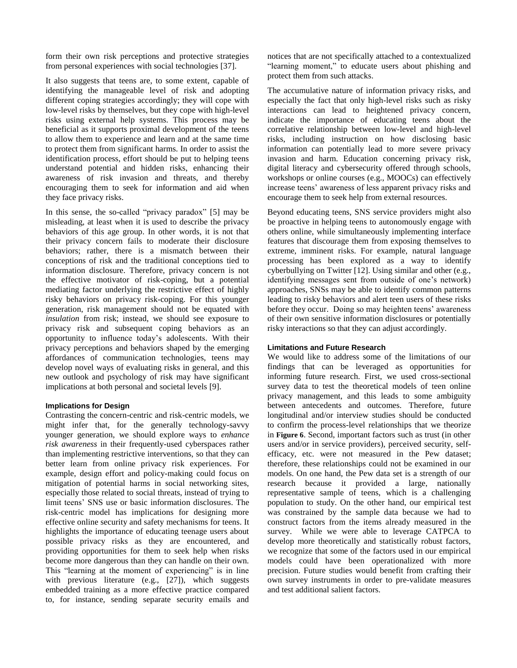form their own risk perceptions and protective strategies from personal experiences with social technologies [37].

It also suggests that teens are, to some extent, capable of identifying the manageable level of risk and adopting different coping strategies accordingly; they will cope with low-level risks by themselves, but they cope with high-level risks using external help systems. This process may be beneficial as it supports proximal development of the teens to allow them to experience and learn and at the same time to protect them from significant harms. In order to assist the identification process, effort should be put to helping teens understand potential and hidden risks, enhancing their awareness of risk invasion and threats, and thereby encouraging them to seek for information and aid when they face privacy risks.

In this sense, the so-called "privacy paradox" [5] may be misleading, at least when it is used to describe the privacy behaviors of this age group. In other words, it is not that their privacy concern fails to moderate their disclosure behaviors; rather, there is a mismatch between their conceptions of risk and the traditional conceptions tied to information disclosure. Therefore, privacy concern is not the effective motivator of risk-coping, but a potential mediating factor underlying the restrictive effect of highly risky behaviors on privacy risk-coping. For this younger generation, risk management should not be equated with *insulation* from risk; instead, we should see exposure to privacy risk and subsequent coping behaviors as an opportunity to influence today's adolescents. With their privacy perceptions and behaviors shaped by the emerging affordances of communication technologies, teens may develop novel ways of evaluating risks in general, and this new outlook and psychology of risk may have significant implications at both personal and societal levels [9].

## **Implications for Design**

Contrasting the concern-centric and risk-centric models, we might infer that, for the generally technology-savvy younger generation, we should explore ways to *enhance risk awareness* in their frequently-used cyberspaces rather than implementing restrictive interventions, so that they can better learn from online privacy risk experiences. For example, design effort and policy-making could focus on mitigation of potential harms in social networking sites, especially those related to social threats, instead of trying to limit teens' SNS use or basic information disclosures. The risk-centric model has implications for designing more effective online security and safety mechanisms for teens. It highlights the importance of educating teenage users about possible privacy risks as they are encountered, and providing opportunities for them to seek help when risks become more dangerous than they can handle on their own. This "learning at the moment of experiencing" is in line with previous literature (e.g., [27]), which suggests embedded training as a more effective practice compared to, for instance, sending separate security emails and

notices that are not specifically attached to a contextualized "learning moment," to educate users about phishing and protect them from such attacks.

The accumulative nature of information privacy risks, and especially the fact that only high-level risks such as risky interactions can lead to heightened privacy concern, indicate the importance of educating teens about the correlative relationship between low-level and high-level risks, including instruction on how disclosing basic information can potentially lead to more severe privacy invasion and harm. Education concerning privacy risk, digital literacy and cybersecurity offered through schools, workshops or online courses (e.g., MOOCs) can effectively increase teens' awareness of less apparent privacy risks and encourage them to seek help from external resources.

Beyond educating teens, SNS service providers might also be proactive in helping teens to autonomously engage with others online, while simultaneously implementing interface features that discourage them from exposing themselves to extreme, imminent risks. For example, natural language processing has been explored as a way to identify cyberbullying on Twitter [12]. Using similar and other (e.g., identifying messages sent from outside of one's network) approaches, SNSs may be able to identify common patterns leading to risky behaviors and alert teen users of these risks before they occur. Doing so may heighten teens' awareness of their own sensitive information disclosures or potentially risky interactions so that they can adjust accordingly.

## **Limitations and Future Research**

We would like to address some of the limitations of our findings that can be leveraged as opportunities for informing future research. First, we used cross-sectional survey data to test the theoretical models of teen online privacy management, and this leads to some ambiguity between antecedents and outcomes. Therefore, future longitudinal and/or interview studies should be conducted to confirm the process-level relationships that we theorize in **[Figure 6](#page-8-0)**. Second, important factors such as trust (in other users and/or in service providers), perceived security, selfefficacy, etc. were not measured in the Pew dataset; therefore, these relationships could not be examined in our models. On one hand, the Pew data set is a strength of our research because it provided a large, nationally representative sample of teens, which is a challenging population to study. On the other hand, our empirical test was constrained by the sample data because we had to construct factors from the items already measured in the survey. While we were able to leverage CATPCA to develop more theoretically and statistically robust factors, we recognize that some of the factors used in our empirical models could have been operationalized with more precision. Future studies would benefit from crafting their own survey instruments in order to pre-validate measures and test additional salient factors.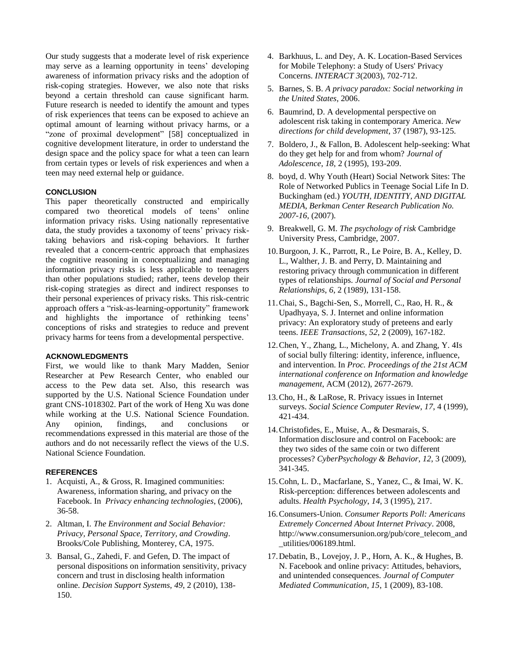Our study suggests that a moderate level of risk experience may serve as a learning opportunity in teens' developing awareness of information privacy risks and the adoption of risk-coping strategies. However, we also note that risks beyond a certain threshold can cause significant harm. Future research is needed to identify the amount and types of risk experiences that teens can be exposed to achieve an optimal amount of learning without privacy harms, or a "zone of proximal development" [58] conceptualized in cognitive development literature, in order to understand the design space and the policy space for what a teen can learn from certain types or levels of risk experiences and when a teen may need external help or guidance.

## **CONCLUSION**

This paper theoretically constructed and empirically compared two theoretical models of teens' online information privacy risks. Using nationally representative data, the study provides a taxonomy of teens' privacy risktaking behaviors and risk-coping behaviors. It further revealed that a concern-centric approach that emphasizes the cognitive reasoning in conceptualizing and managing information privacy risks is less applicable to teenagers than other populations studied; rather, teens develop their risk-coping strategies as direct and indirect responses to their personal experiences of privacy risks. This risk-centric approach offers a "risk-as-learning-opportunity" framework and highlights the importance of rethinking teens' conceptions of risks and strategies to reduce and prevent privacy harms for teens from a developmental perspective.

## **ACKNOWLEDGMENTS**

First, we would like to thank Mary Madden, Senior Researcher at Pew Research Center, who enabled our access to the Pew data set. Also, this research was supported by the U.S. National Science Foundation under grant CNS-1018302. Part of the work of Heng Xu was done while working at the U.S. National Science Foundation. Any opinion, findings, and conclusions or recommendations expressed in this material are those of the authors and do not necessarily reflect the views of the U.S. National Science Foundation.

## **REFERENCES**

- 1. Acquisti, A., & Gross, R. Imagined communities: Awareness, information sharing, and privacy on the Facebook. In *Privacy enhancing technologies*, (2006), 36-58.
- 2. Altman, I. *The Environment and Social Behavior: Privacy, Personal Space, Territory, and Crowding*. Brooks/Cole Publishing, Monterey, CA, 1975.
- 3. Bansal, G., Zahedi, F. and Gefen, D. The impact of personal dispositions on information sensitivity, privacy concern and trust in disclosing health information online. *Decision Support Systems*, *49*, 2 (2010), 138- 150.
- 4. Barkhuus, L. and Dey, A. K. Location-Based Services for Mobile Telephony: a Study of Users' Privacy Concerns. *INTERACT 3*(2003), 702-712.
- 5. Barnes, S. B. *A privacy paradox: Social networking in the United States*, 2006.
- 6. Baumrind, D. A developmental perspective on adolescent risk taking in contemporary America. *New directions for child development*, 37 (1987), 93-125.
- 7. Boldero, J., & Fallon, B. Adolescent help-seeking: What do they get help for and from whom? *Journal of Adolescence*, *18*, 2 (1995), 193-209.
- 8. boyd, d. Why Youth (Heart) Social Network Sites: The Role of Networked Publics in Teenage Social Life In D. Buckingham (ed.) *YOUTH, IDENTITY, AND DIGITAL MEDIA*, *Berkman Center Research Publication No. 2007-16*, (2007).
- 9. Breakwell, G. M. *The psychology of risk* Cambridge University Press, Cambridge, 2007.
- 10.Burgoon, J. K., Parrott, R., Le Poire, B. A., Kelley, D. L., Walther, J. B. and Perry, D. Maintaining and restoring privacy through communication in different types of relationships. *Journal of Social and Personal Relationships*, *6*, 2 (1989), 131-158.
- 11.Chai, S., Bagchi-Sen, S., Morrell, C., Rao, H. R., & Upadhyaya, S. J. Internet and online information privacy: An exploratory study of preteens and early teens. *IEEE Transactions*, *52*, 2 (2009), 167-182.
- 12.Chen, Y., Zhang, L., Michelony, A. and Zhang, Y. 4Is of social bully filtering: identity, inference, influence, and intervention. In *Proc. Proceedings of the 21st ACM international conference on Information and knowledge management*, ACM (2012), 2677-2679.
- 13.Cho, H., & LaRose, R. Privacy issues in Internet surveys. *Social Science Computer Review*, *17*, 4 (1999), 421-434.
- 14.Christofides, E., Muise, A., & Desmarais, S. Information disclosure and control on Facebook: are they two sides of the same coin or two different processes? *CyberPsychology & Behavior*, *12*, 3 (2009), 341-345.
- 15.Cohn, L. D., Macfarlane, S., Yanez, C., & Imai, W. K. Risk-perception: differences between adolescents and adults. *Health Psychology*, *14*, 3 (1995), 217.
- 16.Consumers-Union. *Consumer Reports Poll: Americans Extremely Concerned About Internet Privacy*. 2008, http://www.consumersunion.org/pub/core\_telecom\_and \_utilities/006189.html.
- 17.Debatin, B., Lovejoy, J. P., Horn, A. K., & Hughes, B. N. Facebook and online privacy: Attitudes, behaviors, and unintended consequences. *Journal of Computer Mediated Communication*, *15*, 1 (2009), 83-108.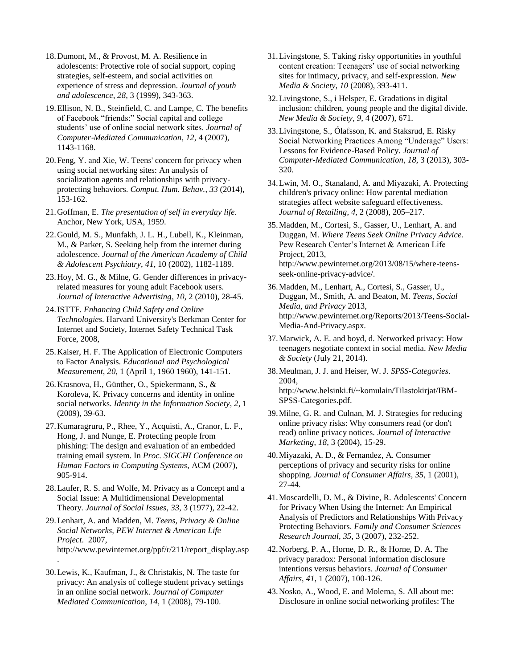18.Dumont, M., & Provost, M. A. Resilience in adolescents: Protective role of social support, coping strategies, self-esteem, and social activities on experience of stress and depression. *Journal of youth and adolescence*, *28*, 3 (1999), 343-363.

- 19.Ellison, N. B., Steinfield, C. and Lampe, C. The benefits of Facebook "friends:" Social capital and college students' use of online social network sites. *Journal of Computer*‐*Mediated Communication*, *12*, 4 (2007), 1143-1168.
- 20.Feng, Y. and Xie, W. Teens' concern for privacy when using social networking sites: An analysis of socialization agents and relationships with privacyprotecting behaviors. *Comput. Hum. Behav.*, *33* (2014), 153-162.
- 21.Goffman, E. *The presentation of self in everyday life*. Anchor, New York, USA, 1959.
- 22.Gould, M. S., Munfakh, J. L. H., Lubell, K., Kleinman, M., & Parker, S. Seeking help from the internet during adolescence. *Journal of the American Academy of Child & Adolescent Psychiatry*, *41*, 10 (2002), 1182-1189.
- 23.Hoy, M. G., & Milne, G. Gender differences in privacyrelated measures for young adult Facebook users. *Journal of Interactive Advertising*, *10*, 2 (2010), 28-45.
- 24.ISTTF. *Enhancing Child Safety and Online Technologies*. Harvard University's Berkman Center for Internet and Society, Internet Safety Technical Task Force, 2008,
- 25.Kaiser, H. F. The Application of Electronic Computers to Factor Analysis. *Educational and Psychological Measurement*, *20*, 1 (April 1, 1960 1960), 141-151.
- 26.Krasnova, H., Günther, O., Spiekermann, S., & Koroleva, K. Privacy concerns and identity in online social networks. *Identity in the Information Society*, *2*, 1 (2009), 39-63.
- 27.Kumaragruru, P., Rhee, Y., Acquisti, A., Cranor, L. F., Hong, J. and Nunge, E. Protecting people from phishing: The design and evaluation of an embedded training email system. In *Proc. SIGCHI Conference on Human Factors in Computing Systems*, ACM (2007), 905-914.
- 28.Laufer, R. S. and Wolfe, M. Privacy as a Concept and a Social Issue: A Multidimensional Developmental Theory. *Journal of Social Issues*, *33*, 3 (1977), 22-42.
- 29.Lenhart, A. and Madden, M. *Teens, Privacy & Online Social Networks, PEW Internet & American Life Project*. 2007, http://www.pewinternet.org/ppf/r/211/report\_display.asp
- 30.Lewis, K., Kaufman, J., & Christakis, N. The taste for privacy: An analysis of college student privacy settings in an online social network. *Journal of Computer Mediated Communication*, *14*, 1 (2008), 79-100.

.

- 31.Livingstone, S. Taking risky opportunities in youthful content creation: Teenagers' use of social networking sites for intimacy, privacy, and self-expression. *New Media & Society*, *10* (2008), 393-411.
- 32.Livingstone, S., i Helsper, E. Gradations in digital inclusion: children, young people and the digital divide. *New Media & Society*, *9*, 4 (2007), 671.
- 33.Livingstone, S., Ólafsson, K. and Staksrud, E. Risky Social Networking Practices Among "Underage" Users: Lessons for Evidence-Based Policy. *Journal of Computer-Mediated Communication*, *18*, 3 (2013), 303- 320.
- 34.Lwin, M. O., Stanaland, A. and Miyazaki, A. Protecting children's privacy online: How parental mediation strategies affect website safeguard effectiveness. *Journal of Retailing*, *4*, 2 (2008), 205–217.
- 35.Madden, M., Cortesi, S., Gasser, U., Lenhart, A. and Duggan, M. *Where Teens Seek Online Privacy Advice*. Pew Research Center's Internet & American Life Project, 2013, http://www.pewinternet.org/2013/08/15/where-teensseek-online-privacy-advice/.
- 36.Madden, M., Lenhart, A., Cortesi, S., Gasser, U., Duggan, M., Smith, A. and Beaton, M. *Teens, Social Media, and Privacy* 2013, http://www.pewinternet.org/Reports/2013/Teens-Social-Media-And-Privacy.aspx.
- 37.Marwick, A. E. and boyd, d. Networked privacy: How teenagers negotiate context in social media. *New Media & Society* (July 21, 2014).
- 38.Meulman, J. J. and Heiser, W. J. *SPSS-Categories*. 2004, http://www.helsinki.fi/~komulain/Tilastokirjat/IBM-SPSS-Categories.pdf.
- 39.Milne, G. R. and Culnan, M. J. Strategies for reducing online privacy risks: Why consumers read (or don't read) online privacy notices. *Journal of Interactive Marketing*, *18*, 3 (2004), 15-29.
- 40.Miyazaki, A. D., & Fernandez, A. Consumer perceptions of privacy and security risks for online shopping. *Journal of Consumer Affairs*, *35*, 1 (2001), 27-44.
- 41.Moscardelli, D. M., & Divine, R. Adolescents' Concern for Privacy When Using the Internet: An Empirical Analysis of Predictors and Relationships With Privacy Protecting Behaviors. *Family and Consumer Sciences Research Journal*, *35*, 3 (2007), 232-252.
- 42.Norberg, P. A., Horne, D. R., & Horne, D. A. The privacy paradox: Personal information disclosure intentions versus behaviors. *Journal of Consumer Affairs*, *41*, 1 (2007), 100-126.
- 43.Nosko, A., Wood, E. and Molema, S. All about me: Disclosure in online social networking profiles: The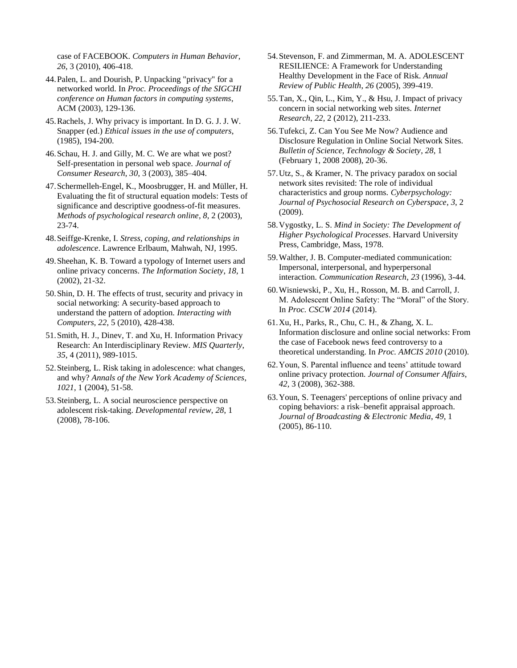case of FACEBOOK. *Computers in Human Behavior*, *26*, 3 (2010), 406-418.

- 44.Palen, L. and Dourish, P. Unpacking "privacy" for a networked world. In *Proc. Proceedings of the SIGCHI conference on Human factors in computing systems*, ACM (2003), 129-136.
- 45.Rachels, J. Why privacy is important. In D. G. J. J. W. Snapper (ed.) *Ethical issues in the use of computers*, (1985), 194-200.
- 46.Schau, H. J. and Gilly, M. C. We are what we post? Self-presentation in personal web space. *Journal of Consumer Research*, *30*, 3 (2003), 385–404.
- 47.Schermelleh-Engel, K., Moosbrugger, H. and Müller, H. Evaluating the fit of structural equation models: Tests of significance and descriptive goodness-of-fit measures. *Methods of psychological research online*, *8*, 2 (2003), 23-74.
- 48.Seiffge-Krenke, I. *Stress, coping, and relationships in adolescence*. Lawrence Erlbaum, Mahwah, NJ, 1995.
- 49.Sheehan, K. B. Toward a typology of Internet users and online privacy concerns. *The Information Society*, *18*, 1 (2002), 21-32.
- 50.Shin, D. H. The effects of trust, security and privacy in social networking: A security-based approach to understand the pattern of adoption. *Interacting with Computers*, *22*, 5 (2010), 428-438.
- 51.Smith, H. J., Dinev, T. and Xu, H. Information Privacy Research: An Interdisciplinary Review. *MIS Quarterly*, *35*, 4 (2011), 989-1015.
- 52.Steinberg, L. Risk taking in adolescence: what changes, and why? *Annals of the New York Academy of Sciences*, *1021*, 1 (2004), 51-58.
- 53.Steinberg, L. A social neuroscience perspective on adolescent risk-taking. *Developmental review*, *28*, 1 (2008), 78-106.
- 54.Stevenson, F. and Zimmerman, M. A. ADOLESCENT RESILIENCE: A Framework for Understanding Healthy Development in the Face of Risk. *Annual Review of Public Health*, *26* (2005), 399-419.
- 55.Tan, X., Qin, L., Kim, Y., & Hsu, J. Impact of privacy concern in social networking web sites. *Internet Research*, *22*, 2 (2012), 211-233.
- 56.Tufekci, Z. Can You See Me Now? Audience and Disclosure Regulation in Online Social Network Sites. *Bulletin of Science, Technology & Society*, *28*, 1 (February 1, 2008 2008), 20-36.
- 57.Utz, S., & Kramer, N. The privacy paradox on social network sites revisited: The role of individual characteristics and group norms. *Cyberpsychology: Journal of Psychosocial Research on Cyberspace*, *3*, 2 (2009).
- 58.Vygostky, L. S. *Mind in Society: The Development of Higher Psychological Processes*. Harvard University Press, Cambridge, Mass, 1978.
- 59.Walther, J. B. Computer-mediated communication: Impersonal, interpersonal, and hyperpersonal interaction. *Communication Research*, *23* (1996), 3-44.
- 60.Wisniewski, P., Xu, H., Rosson, M. B. and Carroll, J. M. Adolescent Online Safety: The "Moral" of the Story. In *Proc. CSCW 2014* (2014).
- 61.Xu, H., Parks, R., Chu, C. H., & Zhang, X. L. Information disclosure and online social networks: From the case of Facebook news feed controversy to a theoretical understanding. In *Proc. AMCIS 2010* (2010).
- 62.Youn, S. Parental influence and teens' attitude toward online privacy protection. *Journal of Consumer Affairs*, *42*, 3 (2008), 362-388.
- 63.Youn, S. Teenagers' perceptions of online privacy and coping behaviors: a risk–benefit appraisal approach. *Journal of Broadcasting & Electronic Media*, *49*, 1 (2005), 86-110.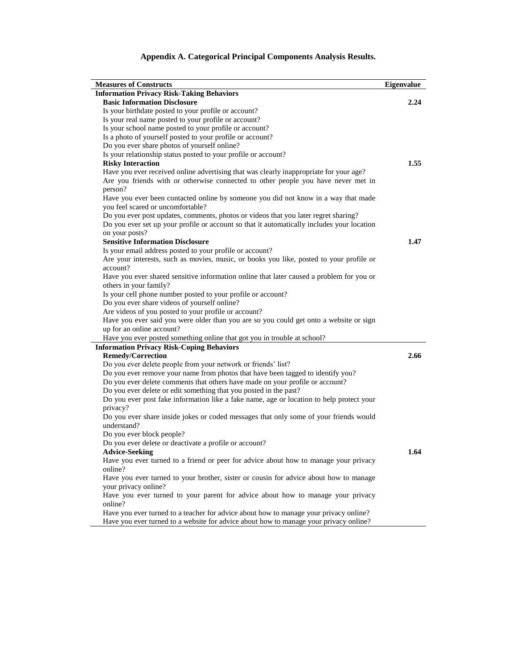# **Appendix A. Categorical Principal Components Analysis Results.**

| <b>Measures of Constructs</b>                                                              | <b>Eigenvalue</b> |
|--------------------------------------------------------------------------------------------|-------------------|
| <b>Information Privacy Risk-Taking Behaviors</b>                                           |                   |
| <b>Basic Information Disclosure</b>                                                        | 2.24              |
| Is your birthdate posted to your profile or account?                                       |                   |
| Is your real name posted to your profile or account?                                       |                   |
| Is your school name posted to your profile or account?                                     |                   |
| Is a photo of yourself posted to your profile or account?                                  |                   |
| Do you ever share photos of yourself online?                                               |                   |
| Is your relationship status posted to your profile or account?                             |                   |
| <b>Risky Interaction</b>                                                                   | 1.55              |
| Have you ever received online advertising that was clearly inappropriate for your age?     |                   |
| Are you friends with or otherwise connected to other people you have never met in          |                   |
| person?                                                                                    |                   |
| Have you ever been contacted online by someone you did not know in a way that made         |                   |
| you feel scared or uncomfortable?                                                          |                   |
| Do you ever post updates, comments, photos or videos that you later regret sharing?        |                   |
| Do you ever set up your profile or account so that it automatically includes your location |                   |
| on your posts?                                                                             |                   |
| <b>Sensitive Information Disclosure</b>                                                    | 1.47              |
| Is your email address posted to your profile or account?                                   |                   |
| Are your interests, such as movies, music, or books you like, posted to your profile or    |                   |
| account?                                                                                   |                   |
| Have you ever shared sensitive information online that later caused a problem for you or   |                   |
| others in your family?                                                                     |                   |
| Is your cell phone number posted to your profile or account?                               |                   |
| Do you ever share videos of yourself online?                                               |                   |
| Are videos of you posted to your profile or account?                                       |                   |
| Have you ever said you were older than you are so you could get onto a website or sign     |                   |
| up for an online account?                                                                  |                   |
| Have you ever posted something online that got you in trouble at school?                   |                   |
| <b>Information Privacy Risk-Coping Behaviors</b>                                           |                   |
| Remedy/Correction                                                                          | 2.66              |
| Do you ever delete people from your network or friends' list?                              |                   |
| Do you ever remove your name from photos that have been tagged to identify you?            |                   |
| Do you ever delete comments that others have made on your profile or account?              |                   |
| Do you ever delete or edit something that you posted in the past?                          |                   |
| Do you ever post fake information like a fake name, age or location to help protect your   |                   |
| privacy?                                                                                   |                   |
| Do you ever share inside jokes or coded messages that only some of your friends would      |                   |
| understand?                                                                                |                   |
| Do you ever block people?                                                                  |                   |
| Do you ever delete or deactivate a profile or account?                                     |                   |
| Advice-Seeking                                                                             | 1.64              |
| Have you ever turned to a friend or peer for advice about how to manage your privacy       |                   |
| online?                                                                                    |                   |
| Have you ever turned to your brother, sister or cousin for advice about how to manage      |                   |
| your privacy online?                                                                       |                   |
| Have you ever turned to your parent for advice about how to manage your privacy            |                   |
| online?                                                                                    |                   |
| Have you ever turned to a teacher for advice about how to manage your privacy online?      |                   |
| Have you ever turned to a website for advice about how to manage your privacy online?      |                   |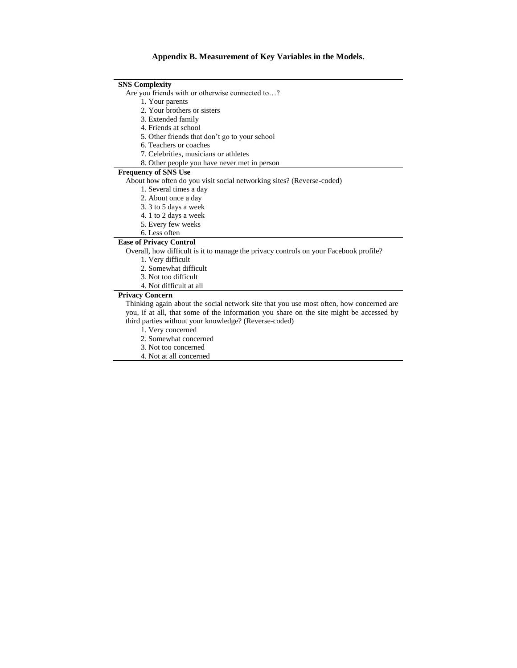## **Appendix B. Measurement of Key Variables in the Models.**

## **SNS Complexity**

Are you friends with or otherwise connected to…?

1. Your parents

- 2. Your brothers or sisters
- 3. Extended family
- 4. Friends at school
- 5. Other friends that don't go to your school
- 6. Teachers or coaches
- 7. Celebrities, musicians or athletes
- 8. Other people you have never met in person

## **Frequency of SNS Use**

About how often do you visit social networking sites? (Reverse-coded)

- 1. Several times a day
- 2. About once a day
- 3. 3 to 5 days a week
- 4. 1 to 2 days a week
- 5. Every few weeks
- 6. Less often

## **Ease of Privacy Control**

Overall, how difficult is it to manage the privacy controls on your Facebook profile?

- 1. Very difficult
- 2. Somewhat difficult
- 3. Not too difficult
- 4. Not difficult at all

## **Privacy Concern**

Thinking again about the social network site that you use most often, how concerned are you, if at all, that some of the information you share on the site might be accessed by third parties without your knowledge? (Reverse-coded)

- 1. Very concerned
- 2. Somewhat concerned
- 3. Not too concerned
- 4. Not at all concerned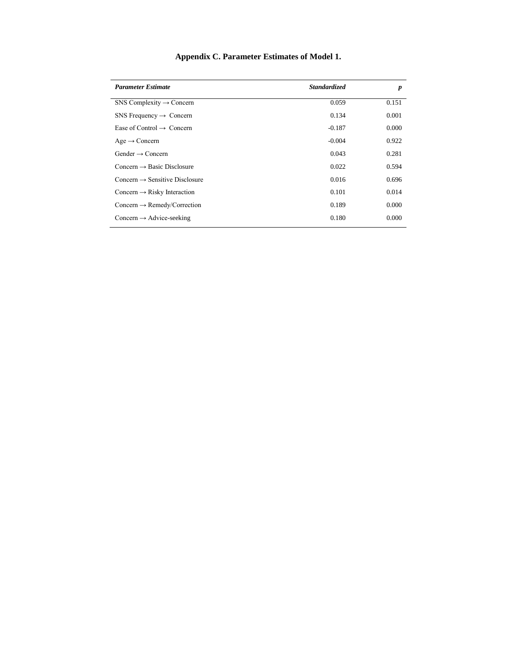| <b>Parameter Estimate</b>                  | <b>Standardized</b> | p     |
|--------------------------------------------|---------------------|-------|
| SNS Complexity $\rightarrow$ Concern       | 0.059               | 0.151 |
| SNS Frequency $\rightarrow$ Concern        | 0.134               | 0.001 |
| Ease of Control $\rightarrow$ Concern      | $-0.187$            | 0.000 |
| $Age \rightarrow$ Concern                  | $-0.004$            | 0.922 |
| Gender $\rightarrow$ Concern               | 0.043               | 0.281 |
| $Concern \rightarrow Basic Disclosure$     | 0.022               | 0.594 |
| $Concern \rightarrow Sensitive Disclosure$ | 0.016               | 0.696 |
| Concern $\rightarrow$ Risky Interaction    | 0.101               | 0.014 |
| Concern $\rightarrow$ Remedy/Correction    | 0.189               | 0.000 |
| Concern $\rightarrow$ Advice-seeking       | 0.180               | 0.000 |

# **Appendix C. Parameter Estimates of Model 1.**